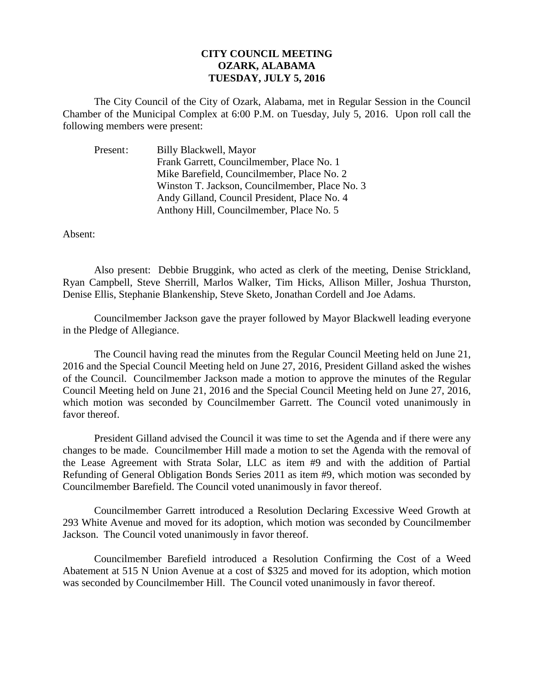## **CITY COUNCIL MEETING OZARK, ALABAMA TUESDAY, JULY 5, 2016**

The City Council of the City of Ozark, Alabama, met in Regular Session in the Council Chamber of the Municipal Complex at 6:00 P.M. on Tuesday, July 5, 2016. Upon roll call the following members were present:

| Present: | Billy Blackwell, Mayor                         |
|----------|------------------------------------------------|
|          | Frank Garrett, Councilmember, Place No. 1      |
|          | Mike Barefield, Councilmember, Place No. 2     |
|          | Winston T. Jackson, Councilmember, Place No. 3 |
|          | Andy Gilland, Council President, Place No. 4   |
|          | Anthony Hill, Councilmember, Place No. 5       |

Absent:

Also present: Debbie Bruggink, who acted as clerk of the meeting, Denise Strickland, Ryan Campbell, Steve Sherrill, Marlos Walker, Tim Hicks, Allison Miller, Joshua Thurston, Denise Ellis, Stephanie Blankenship, Steve Sketo, Jonathan Cordell and Joe Adams.

Councilmember Jackson gave the prayer followed by Mayor Blackwell leading everyone in the Pledge of Allegiance.

The Council having read the minutes from the Regular Council Meeting held on June 21, 2016 and the Special Council Meeting held on June 27, 2016, President Gilland asked the wishes of the Council. Councilmember Jackson made a motion to approve the minutes of the Regular Council Meeting held on June 21, 2016 and the Special Council Meeting held on June 27, 2016, which motion was seconded by Councilmember Garrett. The Council voted unanimously in favor thereof.

President Gilland advised the Council it was time to set the Agenda and if there were any changes to be made. Councilmember Hill made a motion to set the Agenda with the removal of the Lease Agreement with Strata Solar, LLC as item #9 and with the addition of Partial Refunding of General Obligation Bonds Series 2011 as item #9, which motion was seconded by Councilmember Barefield. The Council voted unanimously in favor thereof.

Councilmember Garrett introduced a Resolution Declaring Excessive Weed Growth at 293 White Avenue and moved for its adoption, which motion was seconded by Councilmember Jackson. The Council voted unanimously in favor thereof.

Councilmember Barefield introduced a Resolution Confirming the Cost of a Weed Abatement at 515 N Union Avenue at a cost of \$325 and moved for its adoption, which motion was seconded by Councilmember Hill. The Council voted unanimously in favor thereof.